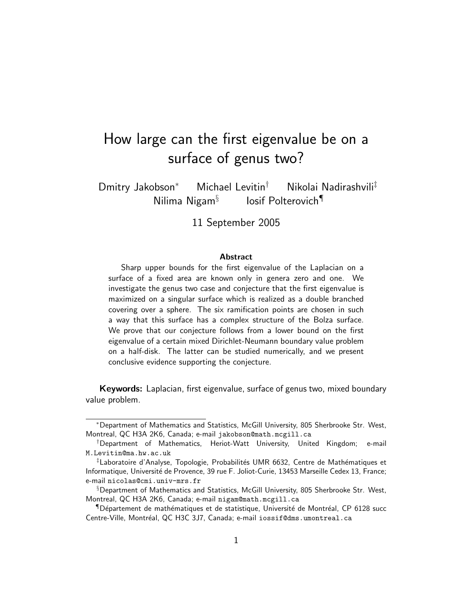# How large can the first eigenvalue be on a surface of genus two?

Dmitry Jakobson<sup>∗</sup> Michael Levitin† Nikolai Nadirashvili‡ Nilima Nigam§ Iosif Polterovich¶

11 September 2005

#### Abstract

Sharp upper bounds for the first eigenvalue of the Laplacian on a surface of a fixed area are known only in genera zero and one. We investigate the genus two case and conjecture that the first eigenvalue is maximized on a singular surface which is realized as a double branched covering over a sphere. The six ramification points are chosen in such a way that this surface has a complex structure of the Bolza surface. We prove that our conjecture follows from a lower bound on the first eigenvalue of a certain mixed Dirichlet-Neumann boundary value problem on a half-disk. The latter can be studied numerically, and we present conclusive evidence supporting the conjecture.

Keywords: Laplacian, first eigenvalue, surface of genus two, mixed boundary value problem.

<sup>∗</sup>Department of Mathematics and Statistics, McGill University, 805 Sherbrooke Str. West, Montreal, QC H3A 2K6, Canada; e-mail jakobson@math.mcgill.ca

<sup>†</sup>Department of Mathematics, Heriot-Watt University, United Kingdom; e-mail M.Levitin@ma.hw.ac.uk

<sup>‡</sup>Laboratoire d'Analyse, Topologie, Probabilités UMR 6632, Centre de Mathématiques et Informatique, Université de Provence, 39 rue F. Joliot-Curie, 13453 Marseille Cedex 13, France; e-mail nicolas@cmi.univ-mrs.fr

<sup>§</sup>Department of Mathematics and Statistics, McGill University, 805 Sherbrooke Str. West, Montreal, QC H3A 2K6, Canada; e-mail nigam@math.mcgill.ca

 $\P$ Département de mathématiques et de statistique, Université de Montréal, CP 6128 succ Centre-Ville, Montréal, QC H3C 3J7, Canada; e-mail iossif@dms.umontreal.ca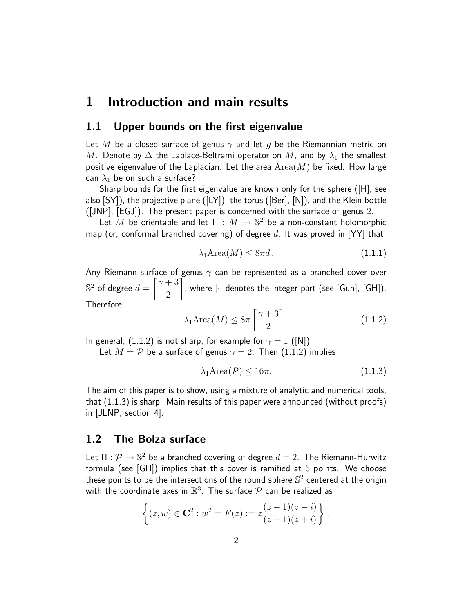### 1 Introduction and main results

### 1.1 Upper bounds on the first eigenvalue

Let M be a closed surface of genus  $\gamma$  and let g be the Riemannian metric on M. Denote by  $\Delta$  the Laplace-Beltrami operator on M, and by  $\lambda_1$  the smallest positive eigenvalue of the Laplacian. Let the area  $Area(M)$  be fixed. How large can  $\lambda_1$  be on such a surface?

Sharp bounds for the first eigenvalue are known only for the sphere ([H], see also [SY]), the projective plane ([LY]), the torus ([Ber], [N]), and the Klein bottle ([JNP], [EGJ]). The present paper is concerned with the surface of genus 2.

Let M be orientable and let  $\Pi : M \to \mathbb{S}^2$  be a non-constant holomorphic map (or, conformal branched covering) of degree  $d$ . It was proved in [YY] that

$$
\lambda_1 \text{Area}(M) \le 8\pi d. \tag{1.1.1}
$$

Any Riemann surface of genus  $\gamma$  can be represented as a branched cover over  $\mathbb{S}^2$  of degree  $d=\left[\frac{\gamma+3}{2}\right]$ 2 1 , where [·] denotes the integer part (see [Gun], [GH]). Therefore,

$$
\lambda_1 \text{Area}(M) \le 8\pi \left[\frac{\gamma + 3}{2}\right].\tag{1.1.2}
$$

In general, (1.1.2) is not sharp, for example for  $\gamma = 1$  ([N]).

Let  $M = \mathcal{P}$  be a surface of genus  $\gamma = 2$ . Then (1.1.2) implies

$$
\lambda_1 \text{Area}(\mathcal{P}) \le 16\pi. \tag{1.1.3}
$$

The aim of this paper is to show, using a mixture of analytic and numerical tools, that (1.1.3) is sharp. Main results of this paper were announced (without proofs) in [JLNP, section 4].

### 1.2 The Bolza surface

Let  $\Pi: \mathcal{P} \to \mathbb{S}^2$  be a branched covering of degree  $d=2$ . The Riemann-Hurwitz formula (see [GH]) implies that this cover is ramified at 6 points. We choose these points to be the intersections of the round sphere  $\mathbb{S}^2$  centered at the origin with the coordinate axes in  $\mathbb{R}^3$ . The surface  $\mathcal P$  can be realized as

$$
\left\{ (z,w) \in \mathbf{C}^2 : w^2 = F(z) := z \frac{(z-1)(z-i)}{(z+1)(z+i)} \right\}.
$$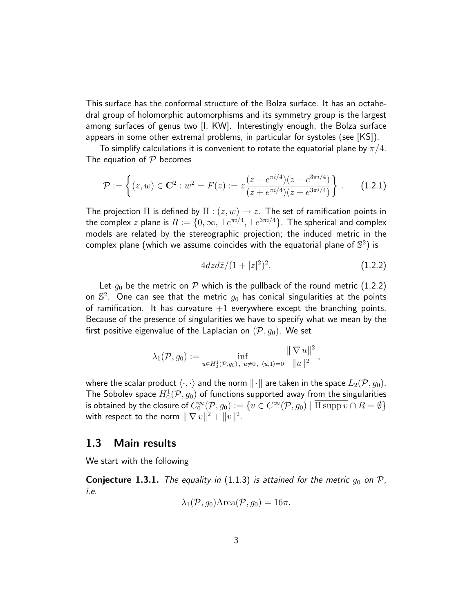This surface has the conformal structure of the Bolza surface. It has an octahedral group of holomorphic automorphisms and its symmetry group is the largest among surfaces of genus two [I, KW]. Interestingly enough, the Bolza surface appears in some other extremal problems, in particular for systoles (see [KS]).

To simplify calculations it is convenient to rotate the equatorial plane by  $\pi/4$ . The equation of  $P$  becomes

$$
\mathcal{P} := \left\{ (z, w) \in \mathbf{C}^2 : w^2 = F(z) := z \frac{(z - e^{\pi i/4})(z - e^{3\pi i/4})}{(z + e^{\pi i/4})(z + e^{3\pi i/4})} \right\}.
$$
 (1.2.1)

The projection  $\Pi$  is defined by  $\Pi : (z, w) \to z$ . The set of ramification points in the complex  $z$  plane is  $R:=\{0,\infty,\pm e^{\pi i/4},\pm e^{3\pi i/4}\}.$  The spherical and complex models are related by the stereographic projection; the induced metric in the complex plane (which we assume coincides with the equatorial plane of  $\mathbb{S}^2)$  is

$$
4dzd\bar{z}/(1+|z|^2)^2.
$$
 (1.2.2)

Let  $g_0$  be the metric on P which is the pullback of the round metric (1.2.2) on  $\mathbb{S}^2$ . One can see that the metric  $g_0$  has conical singularities at the points of ramification. It has curvature  $+1$  everywhere except the branching points. Because of the presence of singularities we have to specify what we mean by the first positive eigenvalue of the Laplacian on  $(\mathcal{P}, g_0)$ . We set

$$
\lambda_1(\mathcal{P}, g_0) := \inf_{u \in H_0^1(\mathcal{P}, g_0), u \neq 0, \ \langle u, 1 \rangle = 0} \frac{\| \nabla u \|^2}{\| u \|^2},
$$

where the scalar product  $\langle \cdot, \cdot \rangle$  and the norm  $\|\cdot\|$  are taken in the space  $L_2(\mathcal{P}, g_0)$ . The Sobolev space  $H^1_0(\mathcal{P},g_0)$  of functions supported away from the singularities is obtained by the closure of  $C_0^\infty({\cal P},g_0):=\{v\in C^\infty({\cal P},g_0)\mid \overline{\Pi\supp v}\cap R=\emptyset\}$ with respect to the norm  $\|\nabla v\|^2 + \|v\|^2.$ 

#### 1.3 Main results

We start with the following

**Conjecture 1.3.1.** The equality in (1.1.3) is attained for the metric  $g_0$  on  $P$ , i.e.

$$
\lambda_1(\mathcal{P}, g_0) \text{Area}(\mathcal{P}, g_0) = 16\pi.
$$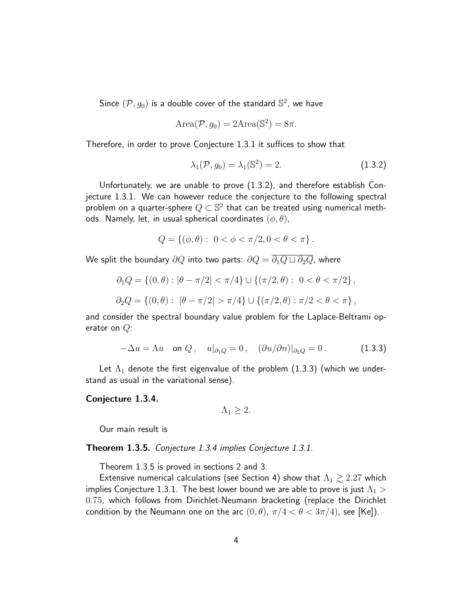Since  $(\mathcal{P}, g_0)$  is a double cover of the standard  $\mathbb{S}^2$ , we have

$$
Area(\mathcal{P}, g_0) = 2Area(\mathbb{S}^2) = 8\pi.
$$

Therefore, in order to prove Conjecture 1.3.1 it suffices to show that

$$
\lambda_1(\mathcal{P}, g_0) = \lambda_1(\mathbb{S}^2) = 2. \tag{1.3.2}
$$

Unfortunately, we are unable to prove (1.3.2), and therefore establish Conjecture 1.3.1. We can however reduce the conjecture to the following spectral problem on a quarter-sphere  $Q\subset \mathbb{S}^2$  that can be treated using numerical methods. Namely, let, in usual spherical coordinates  $(\phi, \theta)$ ,

$$
Q = \{ (\phi, \theta) : 0 < \phi < \pi/2, 0 < \theta < \pi \}.
$$

We split the boundary  $\partial Q$  into two parts:  $\partial Q = \overline{\partial_1 Q \sqcup \partial_2 Q}$ , where

$$
\partial_1 Q = \{ (0, \theta) : |\theta - \pi/2| < \pi/4 \} \cup \{ (\pi/2, \theta) : 0 < \theta < \pi/2 \},
$$
\n
$$
\partial_2 Q = \{ (0, \theta) : |\theta - \pi/2| > \pi/4 \} \cup \{ (\pi/2, \theta) : \pi/2 < \theta < \pi \},
$$

and consider the spectral boundary value problem for the Laplace-Beltrami operator on  $Q$ :

$$
-\Delta u = \Lambda u \quad \text{on } Q \,, \quad u|_{\partial_1 Q} = 0 \,, \quad (\partial u/\partial n)|_{\partial_2 Q} = 0 \,. \tag{1.3.3}
$$

Let  $\Lambda_1$  denote the first eigenvalue of the problem (1.3.3) (which we understand as usual in the variational sense).

#### Conjecture 1.3.4.

$$
\Lambda_1\geq 2.
$$

Our main result is

#### Theorem 1.3.5. Conjecture 1.3.4 implies Conjecture 1.3.1.

Theorem 1.3.5 is proved in sections 2 and 3.

Extensive numerical calculations (see Section 4) show that  $\Lambda_1 \gtrsim 2.27$  which implies Conjecture 1.3.1. The best lower bound we are able to prove is just  $\Lambda_1 >$ 0.75, which follows from Dirichlet-Neumann bracketing (replace the Dirichlet condition by the Neumann one on the arc  $(0, \theta)$ ,  $\pi/4 < \theta < 3\pi/4$ ), see [Ke]).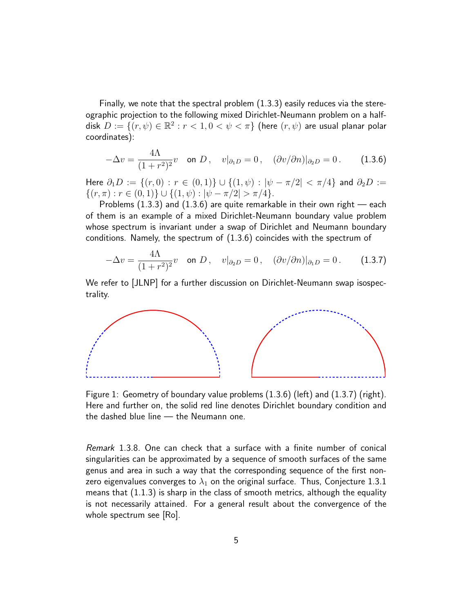Finally, we note that the spectral problem (1.3.3) easily reduces via the stereographic projection to the following mixed Dirichlet-Neumann problem on a halfdisk  $D:=\{(r,\psi)\in\mathbb{R}^2: r<1, 0<\psi<\pi\}$  (here  $(r,\psi)$  are usual planar polar coordinates):

$$
-\Delta v = \frac{4\Lambda}{(1+r^2)^2}v \quad \text{on } D \,, \quad v|_{\partial_1 D} = 0 \,, \quad (\partial v/\partial n)|_{\partial_2 D} = 0 \,. \tag{1.3.6}
$$

Here  $\partial_1 D := \{(r, 0) : r \in (0, 1)\} \cup \{(1, \psi) : |\psi - \pi/2| < \pi/4\}$  and  $\partial_2 D :=$  $\{(r,\pi): r \in (0,1)\} \cup \{(1,\psi): |\psi-\pi/2| > \pi/4\}.$ 

Problems  $(1.3.3)$  and  $(1.3.6)$  are quite remarkable in their own right — each of them is an example of a mixed Dirichlet-Neumann boundary value problem whose spectrum is invariant under a swap of Dirichlet and Neumann boundary conditions. Namely, the spectrum of (1.3.6) coincides with the spectrum of

$$
-\Delta v = \frac{4\Lambda}{(1+r^2)^2}v \quad \text{on } D \,, \quad v|_{\partial_2 D} = 0 \,, \quad (\partial v/\partial n)|_{\partial_1 D} = 0 \,. \tag{1.3.7}
$$

We refer to [JLNP] for a further discussion on Dirichlet-Neumann swap isospectrality.



Figure 1: Geometry of boundary value problems (1.3.6) (left) and (1.3.7) (right). Here and further on, the solid red line denotes Dirichlet boundary condition and the dashed blue line — the Neumann one.

Remark 1.3.8. One can check that a surface with a finite number of conical singularities can be approximated by a sequence of smooth surfaces of the same genus and area in such a way that the corresponding sequence of the first nonzero eigenvalues converges to  $\lambda_1$  on the original surface. Thus, Conjecture 1.3.1 means that (1.1.3) is sharp in the class of smooth metrics, although the equality is not necessarily attained. For a general result about the convergence of the whole spectrum see [Ro].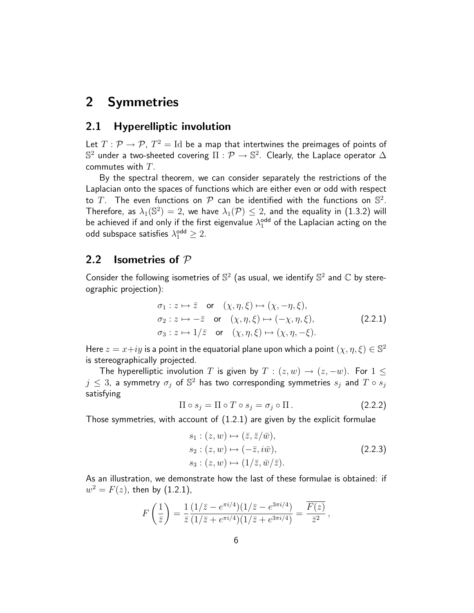## 2 Symmetries

### 2.1 Hyperelliptic involution

Let  $T: \mathcal{P} \rightarrow \mathcal{P}$ ,  $T^2 = \text{Id}$  be a map that intertwines the preimages of points of  $\mathbb{S}^2$  under a two-sheeted covering  $\Pi: \mathcal{P} \to \mathbb{S}^2.$  Clearly, the Laplace operator  $\Delta$ commutes with T.

By the spectral theorem, we can consider separately the restrictions of the Laplacian onto the spaces of functions which are either even or odd with respect to T. The even functions on  $P$  can be identified with the functions on  $\mathbb{S}^2$ . Therefore, as  $\lambda_1(\mathbb{S}^2)=2$ , we have  $\lambda_1(\mathcal{P})\leq 2$ , and the equality in (1.3.2) will be achieved if and only if the first eigenvalue  $\lambda_1^{\text{odd}}$  of the Laplacian acting on the odd subspace satisfies  $\lambda_1^{\mathsf{odd}} \geq 2$ .

### 2.2 **Isometries of**  $P$

Consider the following isometries of  $\mathbb{S}^2$  (as usual, we identify  $\mathbb{S}^2$  and  $\mathbb C$  by stereographic projection):

$$
\sigma_1: z \mapsto \bar{z} \quad \text{or} \quad (\chi, \eta, \xi) \mapsto (\chi, -\eta, \xi), \n\sigma_2: z \mapsto -\bar{z} \quad \text{or} \quad (\chi, \eta, \xi) \mapsto (-\chi, \eta, \xi), \n\sigma_3: z \mapsto 1/\bar{z} \quad \text{or} \quad (\chi, \eta, \xi) \mapsto (\chi, \eta, -\xi).
$$
\n(2.2.1)

Here  $z=x+iy$  is a point in the equatorial plane upon which a point  $(\chi,\eta,\xi)\in\mathbb{S}^2$ is stereographically projected.

The hyperelliptic involution T is given by  $T : (z, w) \rightarrow (z, -w)$ . For  $1 \leq$  $j\,\leq\, 3$ , a symmetry  $\sigma_j$  of  $\mathbb{S}^2$  has two corresponding symmetries  $s_j$  and  $T\circ s_j$ satisfying

$$
\Pi \circ s_j = \Pi \circ T \circ s_j = \sigma_j \circ \Pi. \tag{2.2.2}
$$

Those symmetries, with account of (1.2.1) are given by the explicit formulae

$$
s_1: (z, w) \mapsto (\bar{z}, \bar{z}/\bar{w}),
$$
  
\n
$$
s_2: (z, w) \mapsto (-\bar{z}, i\bar{w}),
$$
  
\n
$$
s_3: (z, w) \mapsto (1/\bar{z}, \bar{w}/\bar{z}).
$$
\n(2.2.3)

As an illustration, we demonstrate how the last of these formulae is obtained: if  $w^2 = F(z)$ , then by (1.2.1),

$$
F\left(\frac{1}{\bar{z}}\right) = \frac{1}{\bar{z}} \frac{(1/\bar{z} - e^{\pi i/4})(1/\bar{z} - e^{3\pi i/4})}{(1/\bar{z} + e^{\pi i/4})(1/\bar{z} + e^{3\pi i/4})} = \frac{\overline{F(z)}}{\bar{z}^2},
$$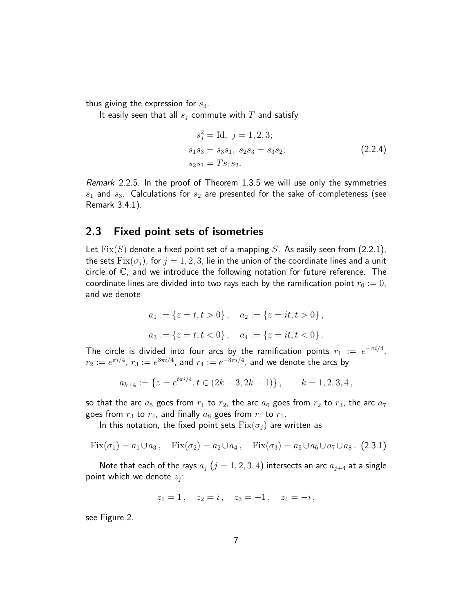thus giving the expression for  $s_3$ .

It easily seen that all  $s_i$  commute with  $T$  and satisfy

$$
s_j^2 = \text{Id}, \ j = 1, 2, 3; s_1 s_3 = s_3 s_1, \ s_2 s_3 = s_3 s_2; s_2 s_1 = T s_1 s_2.
$$
 (2.2.4)

Remark 2.2.5. In the proof of Theorem 1.3.5 we will use only the symmetries  $s_1$  and  $s_3$ . Calculations for  $s_2$  are presented for the sake of completeness (see Remark 3.4.1).

### 2.3 Fixed point sets of isometries

Let  $Fix(S)$  denote a fixed point set of a mapping S. As easily seen from (2.2.1), the sets  $Fix(\sigma_i)$ , for  $j = 1, 2, 3$ , lie in the union of the coordinate lines and a unit circle of C, and we introduce the following notation for future reference. The coordinate lines are divided into two rays each by the ramification point  $r_0 := 0$ , and we denote

$$
a_1 := \{z = t, t > 0\}, \quad a_2 := \{z = it, t > 0\},
$$
  

$$
a_3 := \{z = t, t < 0\}, \quad a_4 := \{z = it, t < 0\}.
$$

The circle is divided into four arcs by the ramification points  $r_1$  :=  $e^{-\pi i/4}$ ,  $r_2:=e^{\pi i/4}$ ,  $r_3:=e^{3\pi i/4}$ , and  $r_4:=e^{-3\pi i/4}$ , and we denote the arcs by

$$
a_{k+4} := \{ z = e^{t\pi i/4}, t \in (2k-3, 2k-1) \}, \qquad k = 1, 2, 3, 4,
$$

so that the arc  $a_5$  goes from  $r_1$  to  $r_2$ , the arc  $a_6$  goes from  $r_2$  to  $r_3$ , the arc  $a_7$ goes from  $r_3$  to  $r_4$ , and finally  $a_8$  goes from  $r_4$  to  $r_1$ .

In this notation, the fixed point sets  $Fix(\sigma_i)$  are written as

$$
Fix(\sigma_1) = a_1 \cup a_3, \quad Fix(\sigma_2) = a_2 \cup a_4, \quad Fix(\sigma_3) = a_5 \cup a_6 \cup a_7 \cup a_8. \tag{2.3.1}
$$

Note that each of the rays  $a_j$   $(j = 1, 2, 3, 4)$  intersects an arc  $a_{j+4}$  at a single point which we denote  $z_j$ :

$$
z_1 = 1
$$
,  $z_2 = i$ ,  $z_3 = -1$ ,  $z_4 = -i$ ,

see Figure 2.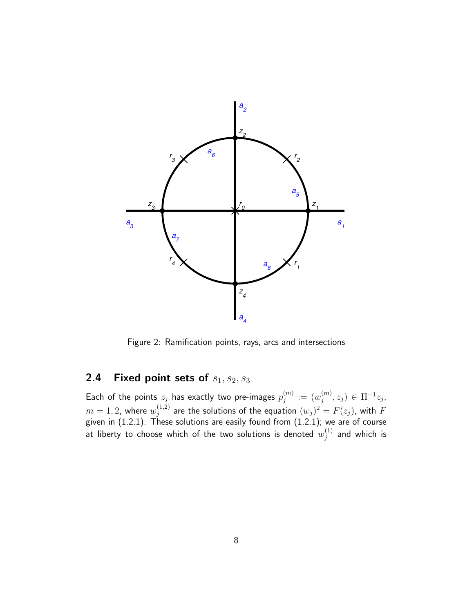

Figure 2: Ramification points, rays, arcs and intersections

### 2.4 Fixed point sets of  $s_1, s_2, s_3$

Each of the points  $z_j$  has exactly two pre-images  $p_{j}^{(m)}$  $\binom{m}{j} := \bigl( \begin{smallmatrix} w_j^{(m)} \end{smallmatrix} \bigr)$  $j^{(m)}, z_j$ )  $\in \Pi^{-1}z_j$ ,  $m=1,2$ , where  $w_i^{(1,2)}$  $j^{(1,2)}_{j}$  are the solutions of the equation  $(w_{j})^{2}=F(z_{j}),$  with  $F$ given in (1.2.1). These solutions are easily found from (1.2.1); we are of course at liberty to choose which of the two solutions is denoted  $w_i^{(1)}$  $j^{(1)}$  and which is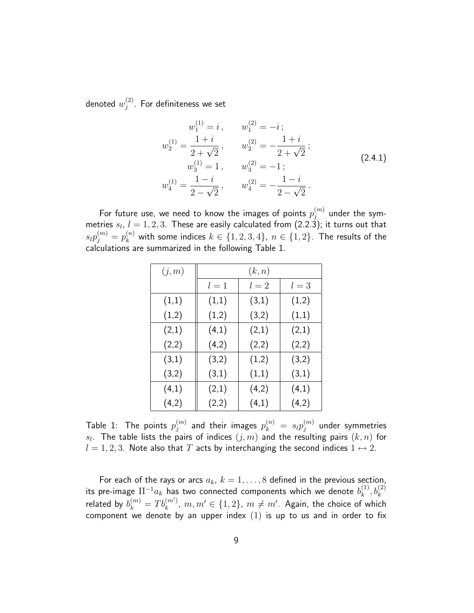denoted  $w^{(2)}_i$  $j^{(2)}$ . For definiteness we set

$$
w_1^{(1)} = i, \t w_1^{(2)} = -i ;
$$
  
\n
$$
w_2^{(1)} = \frac{1+i}{2+\sqrt{2}}, \t w_2^{(2)} = -\frac{1+i}{2+\sqrt{2}} ;
$$
  
\n
$$
w_3^{(1)} = 1, \t w_3^{(2)} = -1 ;
$$
  
\n
$$
w_4^{(1)} = \frac{1-i}{2-\sqrt{2}}, \t w_4^{(2)} = -\frac{1-i}{2-\sqrt{2}}.
$$
\n(2.4.1)

For future use, we need to know the images of points  $p_{i}^{\left( m\right) }$  $\mathcal{C}^{(m)}_j$  under the symmetries  $s_l, l = 1, 2, 3$ . These are easily calculated from (2.2.3); it turns out that  $s_l p_j^{(m)} = p_k^{(n)}$  with some indices  $k \in \{1,2,3,4\}$ ,  $n \in \{1,2\}$ . The results of the calculations are summarized in the following Table 1.

| (j,m) | (k,n) |       |       |  |
|-------|-------|-------|-------|--|
|       | $l=1$ | $l=2$ | $l=3$ |  |
| (1,1) | (1,1) | (3,1) | (1,2) |  |
| (1,2) | (1,2) | (3,2) | (1,1) |  |
| (2,1) | (4,1) | (2,1) | (2,1) |  |
| (2,2) | (4,2) | (2,2) | (2,2) |  |
| (3,1) | (3,2) | (1,2) | (3,2) |  |
| (3,2) | (3,1) | (1,1) | (3,1) |  |
| (4,1) | (2,1) | (4,2) | (4,1) |  |
| (4,2) | (2,2) | (4,1) | (4,2) |  |

Table 1: The points  $p_j^{(m)}$  $\hat{p}^{(m)}_j$  and their images  $p_k^{(n)}~=~s_l p_j^{(m)}$  $\mathcal{C}^{(m)}_j$  under symmetries  $s_l.$  The table lists the pairs of indices  $(j,m)$  and the resulting pairs  $(k,n)$  for  $l = 1, 2, 3$ . Note also that T acts by interchanging the second indices  $1 \leftrightarrow 2$ .

For each of the rays or arcs  $a_k$ ,  $k = 1, \ldots, 8$  defined in the previous section, its pre-image  $\Pi^{-1}a_k$  has two connected components which we denote  $b_k^{(1)}$  $\binom{(1)}{k},b_k^{(2)}$ related by  $b_k^{(m)}=T b_k^{(m^\prime)}$  $k_{k}^{(m')}$ ,  $m,m'\in\{1,2\}$ ,  $m\neq m'$ . Again, the choice of which component we denote by an upper index  $(1)$  is up to us and in order to fix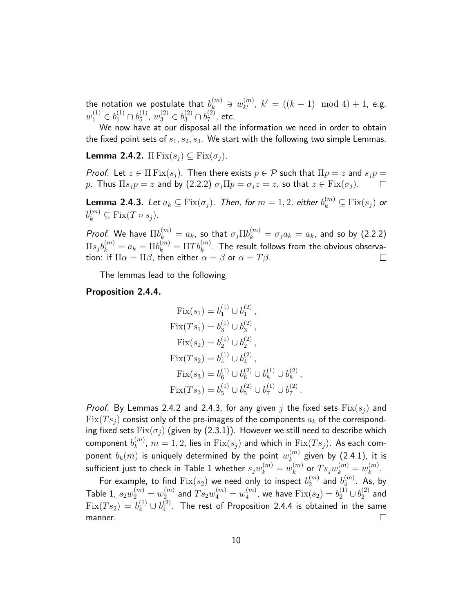the notation we postulate that  $b_k^{(m)} \ni w_{k'}^{(m)}$  $\binom{m}{k'}$ ,  $k' = ((k-1) \mod 4) + 1$ , e.g.  $w_1^{(1)} \in b_1^{(1)} \cap b_5^{(1)}$  $y_5^{(1)}$ ,  $w_3^{(2)} \in b_3^{(2)} \cap b_7^{(2)}$  $_{7}^{(2)}$ , etc.

We now have at our disposal all the information we need in order to obtain the fixed point sets of  $s_1, s_2, s_3$ . We start with the following two simple Lemmas.

**Lemma 2.4.2.**  $\Pi$  Fix $(s_i) \subseteq$  Fix $(\sigma_i)$ .

*Proof.* Let  $z \in \Pi$  Fix $(s_i)$ . Then there exists  $p \in \mathcal{P}$  such that  $\Pi p = z$  and  $s_i p = z$ p. Thus  $\Pi s_j p = z$  and by (2.2.2)  $\sigma_j \Pi p = \sigma_j z = z$ , so that  $z \in \text{Fix}(\sigma_j)$ .  $\Box$ 

**Lemma 2.4.3.** Let  $a_k \subseteq \mathrm{Fix}(\sigma_j).$  Then, for  $m=1,2.$  either  $b_k^{(m)} \subseteq \mathrm{Fix}(s_j)$  or  $b_k^{(m)} \subseteq \text{Fix}(T \circ s_j).$ 

*Proof.* We have  $\Pi b_k^{(m)}=a_k$ , so that  $\sigma_j \Pi b_k^{(m)}=\sigma_j a_k=a_k$ , and so by  $(2.2.2)$  $\Pi s_j b_k^{(m)} = a_k = \Pi b_k^{(m)} = \Pi Tb_k^{(m)}.$  The result follows from the obvious observation: if  $\Pi \alpha = \Pi \beta$ , then either  $\alpha = \beta$  or  $\alpha = T\beta$ .  $\Box$ 

The lemmas lead to the following

Proposition 2.4.4.

Fix
$$
(s_1)
$$
 =  $b_1^{(1)} \cup b_1^{(2)}$ ,  
\nFix $(Ts_1)$  =  $b_3^{(1)} \cup b_3^{(2)}$ ,  
\nFix $(s_2)$  =  $b_2^{(1)} \cup b_2^{(2)}$ ,  
\nFix $(Ts_2)$  =  $b_4^{(1)} \cup b_4^{(2)}$ ,  
\nFix $(s_3)$  =  $b_6^{(1)} \cup b_6^{(2)} \cup b_8^{(1)} \cup b_8^{(2)}$ ,  
\nFix $(Ts_3)$  =  $b_5^{(1)} \cup b_5^{(2)} \cup b_7^{(1)} \cup b_7^{(2)}$ .

*Proof.* By Lemmas 2.4.2 and 2.4.3, for any given j the fixed sets  $Fix(s_i)$  and  $Fix(Ts_i)$  consist only of the pre-images of the components  $a_k$  of the corresponding fixed sets  $Fix(\sigma_i)$  (given by (2.3.1)). However we still need to describe which component  $b_{k}^{(m)},\,m=1,2$ , lies in  $\mathrm{Fix}(s_{j})$  and which in  $\mathrm{Fix}(Ts_{j}).$  As each comk ponent  $b_k(m)$  is uniquely determined by the point  $w_k^{(m)}$  $\mathbf{k}^{(m)}$  given by  $(2.4.1)$ , it is sufficient just to check in Table 1 whether  $s_jw_k^{(m)}=w_k^{(m)}$  $\binom{m}{k}$  or  $T s_j w_k^{(m)} = w_k^{(m)}$  $\binom{m}{k}$ .

For example, to find  $\mathrm{Fix}(s_2)$  we need only to inspect  $b_2^{(m)}$  $\mathit{a}_2^{(m)}$  and  $\mathit{b}_4^{(m)}$  $_4^{(m)}$ . As, by Table 1,  $s_2w_2^{(m)}=w_2^{(m)}$  $\mathbb{Z}_2^{(m)}$  and  $Ts_2w_4^{(m)}=w_4^{(m)}$  $_4^{(m)}$ , we have  ${\rm Fix}(s_2)=b_2^{(1)}\cup b_2^{(2)}$  $2^{(2)}$  and  $Fix(Ts_2) = b_4^{(1)} \cup b_4^{(2)}$  $\binom{2}{4}$ . The rest of Proposition 2.4.4 is obtained in the same manner.  $\Box$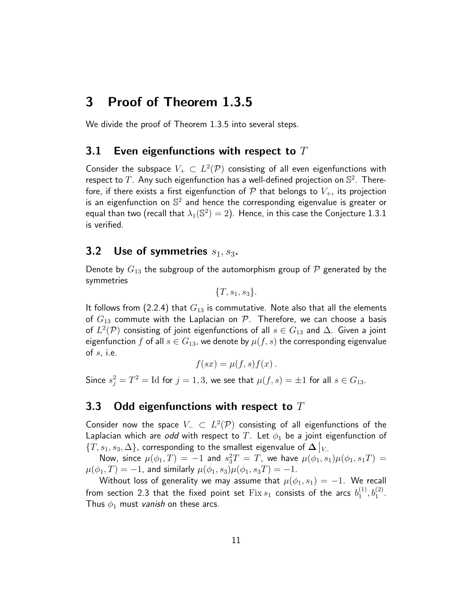## 3 Proof of Theorem 1.3.5

We divide the proof of Theorem 1.3.5 into several steps.

#### 3.1 Even eigenfunctions with respect to  $T$

Consider the subspace  $V_+ \subset L^2(\mathcal{P})$  consisting of all even eigenfunctions with respect to  $T$ . Any such eigenfunction has a well-defined projection on  $\mathbb{S}^2$ . Therefore, if there exists a first eigenfunction of  $P$  that belongs to  $V_{+}$ , its projection is an eigenfunction on  $\mathbb{S}^2$  and hence the corresponding eigenvalue is greater or equal than two (recall that  $\lambda_1(\mathbb{S}^2)=2)$ . Hence, in this case the Conjecture 1.3.1 is verified.

### 3.2 Use of symmetries  $s_1, s_3$ .

Denote by  $G_{13}$  the subgroup of the automorphism group of  $P$  generated by the symmetries

 ${T, s_1, s_3}.$ 

It follows from (2.2.4) that  $G_{13}$  is commutative. Note also that all the elements of  $G_{13}$  commute with the Laplacian on P. Therefore, we can choose a basis of  $L^2(\mathcal{P})$  consisting of joint eigenfunctions of all  $s\in G_{13}$  and  $\Delta.$  Given a joint eigenfunction f of all  $s \in G_{13}$ , we denote by  $\mu(f, s)$  the corresponding eigenvalue of  $s$ , i.e.

$$
f(sx) = \mu(f, s) f(x).
$$

Since  $s_j^2 = T^2 = \text{Id}$  for  $j = 1, 3$ , we see that  $\mu(f, s) = \pm 1$  for all  $s \in G_{13}$ .

#### 3.3 Odd eigenfunctions with respect to  $T$

Consider now the space  $V_-\,\subset\, L^2(\mathcal{P})$  consisting of all eigenfunctions of the Laplacian which are odd with respect to T. Let  $\phi_1$  be a joint eigenfunction of  $\{T, s_1, s_3, \Delta\}$ , corresponding to the smallest eigenvalue of  $\Delta|_{V_{-}}$ 

Now, since  $\mu(\phi_1,T)=-1$  and  $s_3^2T=T$ , we have  $\mu(\phi_1,s_1)\mu(\phi_1,s_1T)=0$  $\mu(\phi_1, T) = -1$ , and similarly  $\mu(\phi_1, s_3)\mu(\phi_1, s_3 T) = -1$ .

Without loss of generality we may assume that  $\mu(\phi_1, s_1) = -1$ . We recall from section 2.3 that the fixed point set  $\operatorname{Fix} s_1$  consists of the arcs  $b_1^{(1)}$  $\binom{1}{1}, \binom{1}{2}.$ Thus  $\phi_1$  must vanish on these arcs.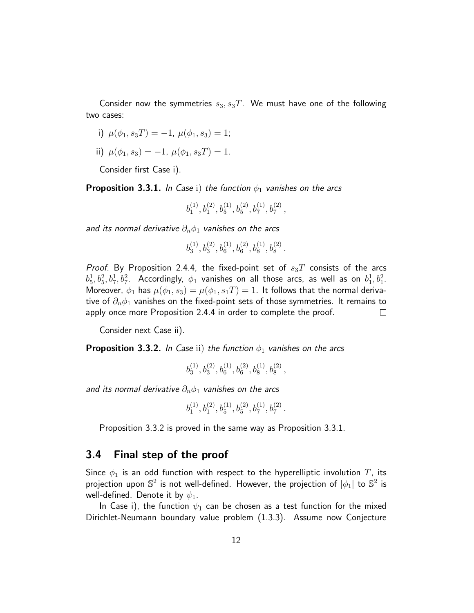Consider now the symmetries  $s_3, s_3T$ . We must have one of the following two cases:

i) 
$$
\mu(\phi_1, s_3T) = -1, \mu(\phi_1, s_3) = 1;
$$

ii) 
$$
\mu(\phi_1, s_3) = -1, \ \mu(\phi_1, s_3T) = 1.
$$

Consider first Case i).

**Proposition 3.3.1.** In Case i) the function  $\phi_1$  vanishes on the arcs

$$
b^{(1)}_1, b^{(2)}_1, b^{(1)}_5, b^{(2)}_5, b^{(1)}_7, b^{(2)}_7,
$$

and its normal derivative  $\partial_n \phi_1$  vanishes on the arcs

$$
b^{(1)}_3, b^{(2)}_3, b^{(1)}_6, b^{(2)}_6, b^{(1)}_8, b^{(2)}_8\\
$$

.

.

Proof. By Proposition 2.4.4, the fixed-point set of  $s_3T$  consists of the arcs  $b_5^1, b_5^2, b_7^1, b_7^2$ . Accordingly,  $\phi_1$  vanishes on all those arcs, as well as on  $b_1^1, b_1^2$ . Moreover,  $\phi_1$  has  $\mu(\phi_1, s_3) = \mu(\phi_1, s_1) = 1$ . It follows that the normal derivative of  $\partial_n \phi_1$  vanishes on the fixed-point sets of those symmetries. It remains to apply once more Proposition 2.4.4 in order to complete the proof.  $\Box$ 

Consider next Case ii).

**Proposition 3.3.2.** In Case ii) the function  $\phi_1$  vanishes on the arcs

 $b_3^{(1)}$  $b_3^{(1)}, b_3^{(2)}, b_6^{(1)}, b_6^{(2)}, b_8^{(1)}, b_8^{(2)},$ 

and its normal derivative  $\partial_n \phi_1$  vanishes on the arcs

$$
b^{(1)}_1, b^{(2)}_1, b^{(1)}_5, b^{(2)}_5, b^{(1)}_7, b^{(2)}_7\\
$$

Proposition 3.3.2 is proved in the same way as Proposition 3.3.1.

#### 3.4 Final step of the proof

Since  $\phi_1$  is an odd function with respect to the hyperelliptic involution T, its projection upon  $\mathbb{S}^2$  is not well-defined. However, the projection of  $|\phi_1|$  to  $\mathbb{S}^2$  is well-defined. Denote it by  $\psi_1$ .

In Case i), the function  $\psi_1$  can be chosen as a test function for the mixed Dirichlet-Neumann boundary value problem (1.3.3). Assume now Conjecture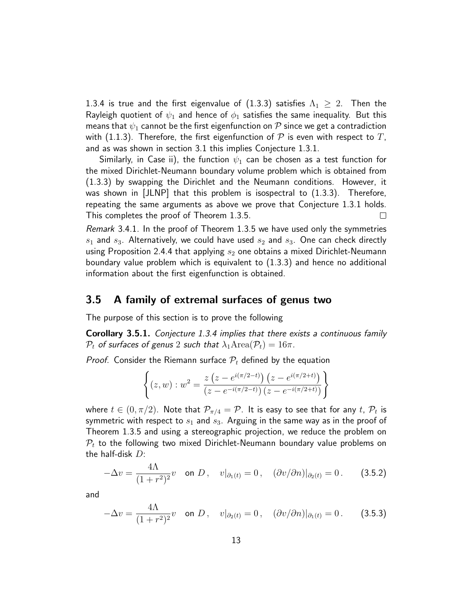1.3.4 is true and the first eigenvalue of  $(1.3.3)$  satisfies  $\Lambda_1 \geq 2$ . Then the Rayleigh quotient of  $\psi_1$  and hence of  $\phi_1$  satisfies the same inequality. But this means that  $\psi_1$  cannot be the first eigenfunction on  ${\mathcal P}$  since we get a contradiction with (1.1.3). Therefore, the first eigenfunction of  $\mathcal P$  is even with respect to T, and as was shown in section 3.1 this implies Conjecture 1.3.1.

Similarly, in Case ii), the function  $\psi_1$  can be chosen as a test function for the mixed Dirichlet-Neumann boundary volume problem which is obtained from (1.3.3) by swapping the Dirichlet and the Neumann conditions. However, it was shown in  $|JLNP|$  that this problem is isospectral to  $(1.3.3)$ . Therefore, repeating the same arguments as above we prove that Conjecture 1.3.1 holds. This completes the proof of Theorem 1.3.5.  $\Box$ 

Remark 3.4.1. In the proof of Theorem 1.3.5 we have used only the symmetries  $s_1$  and  $s_3$ . Alternatively, we could have used  $s_2$  and  $s_3$ . One can check directly using Proposition 2.4.4 that applying  $s_2$  one obtains a mixed Dirichlet-Neumann boundary value problem which is equivalent to (1.3.3) and hence no additional information about the first eigenfunction is obtained.

### 3.5 A family of extremal surfaces of genus two

The purpose of this section is to prove the following

Corollary 3.5.1. Conjecture 1.3.4 implies that there exists a continuous family  $P_t$  of surfaces of genus 2 such that  $\lambda_1$ Area $(\mathcal{P}_t) = 16\pi$ .

*Proof.* Consider the Riemann surface  $P_t$  defined by the equation

$$
\left\{ (z, w) : w^2 = \frac{z (z - e^{i(\pi/2 - t)}) (z - e^{i(\pi/2 + t)})}{(z - e^{-i(\pi/2 - t)}) (z - e^{-i(\pi/2 + t)})} \right\}
$$

where  $t\in(0,\pi/2).$  Note that  $\mathcal{P}_{\pi/4}=\mathcal{P}.$  It is easy to see that for any  $t,$   $\mathcal{P}_t$  is symmetric with respect to  $s_1$  and  $s_3$ . Arguing in the same way as in the proof of Theorem 1.3.5 and using a stereographic projection, we reduce the problem on  $P_t$  to the following two mixed Dirichlet-Neumann boundary value problems on the half-disk  $D$ :

$$
-\Delta v = \frac{4\Lambda}{(1+r^2)^2}v \text{ on } D, \quad v|_{\partial_1(t)} = 0, \quad (\partial v/\partial n)|_{\partial_2(t)} = 0. \tag{3.5.2}
$$

and

$$
-\Delta v = \frac{4\Lambda}{(1+r^2)^2}v \quad \text{on } D\,, \quad v|_{\partial_2(t)} = 0\,, \quad (\partial v/\partial n)|_{\partial_1(t)} = 0\,.
$$
 (3.5.3)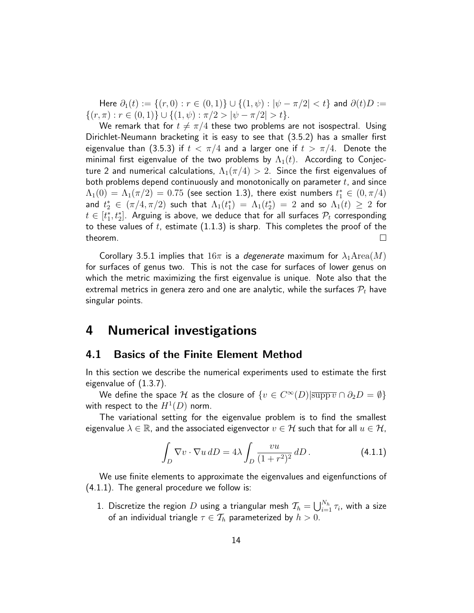Here  $\partial_1(t) := \{(r, 0) : r \in (0, 1)\} \cup \{(1, \psi) : |\psi - \pi/2| < t\}$  and  $\partial(t)D :=$  $\{(r,\pi): r \in (0,1)\} \cup \{(1,\psi): \pi/2 > |\psi - \pi/2| > t\}.$ 

We remark that for  $t \neq \pi/4$  these two problems are not isospectral. Using Dirichlet-Neumann bracketing it is easy to see that (3.5.2) has a smaller first eigenvalue than (3.5.3) if  $t < \pi/4$  and a larger one if  $t > \pi/4$ . Denote the minimal first eigenvalue of the two problems by  $\Lambda_1(t)$ . According to Conjecture 2 and numerical calculations,  $\Lambda_1(\pi/4) > 2$ . Since the first eigenvalues of both problems depend continuously and monotonically on parameter  $t$ , and since  $\Lambda_1(0) = \Lambda_1(\pi/2) = 0.75$  (see section 1.3), there exist numbers  $t_1^* \in (0, \pi/4)$ and  $t_2^*\,\in\,(\pi/4,\pi/2)$  such that  $\Lambda_1(t_1^*)\,=\,\Lambda_1(t_2^*)\,=\,2$  and so  $\Lambda_1(t)\,\geq\,2$  for  $t\in[t_{1}^{*},t_{2}^{*}]$ . Arguing is above, we deduce that for all surfaces  $\mathcal{P}_{t}$  corresponding to these values of t, estimate  $(1.1.3)$  is sharp. This completes the proof of the theorem.  $\perp$ 

Corollary 3.5.1 implies that  $16\pi$  is a *degenerate* maximum for  $\lambda_1$ Area $(M)$ for surfaces of genus two. This is not the case for surfaces of lower genus on which the metric maximizing the first eigenvalue is unique. Note also that the extremal metrics in genera zero and one are analytic, while the surfaces  $P_t$  have singular points.

### 4 Numerical investigations

### 4.1 Basics of the Finite Element Method

In this section we describe the numerical experiments used to estimate the first eigenvalue of (1.3.7).

We define the space  ${\cal H}$  as the closure of  $\{ v \in C^{\infty}(D) | \overline{\text{supp} \, v} \cap \partial_2 D = \emptyset \}$ with respect to the  $H^1(D)$  norm.

The variational setting for the eigenvalue problem is to find the smallest eigenvalue  $\lambda \in \mathbb{R}$ , and the associated eigenvector  $v \in \mathcal{H}$  such that for all  $u \in \mathcal{H}$ ,

$$
\int_D \nabla v \cdot \nabla u \, dD = 4\lambda \int_D \frac{vu}{(1+r^2)^2} \, dD \,. \tag{4.1.1}
$$

We use finite elements to approximate the eigenvalues and eigenfunctions of (4.1.1). The general procedure we follow is:

1. Discretize the region  $D$  using a triangular mesh  $\mathcal{T}_h = \bigcup_{i=1}^{N_h} \tau_i$ , with a size of an individual triangle  $\tau \in \mathcal{T}_h$  parameterized by  $h > 0$ .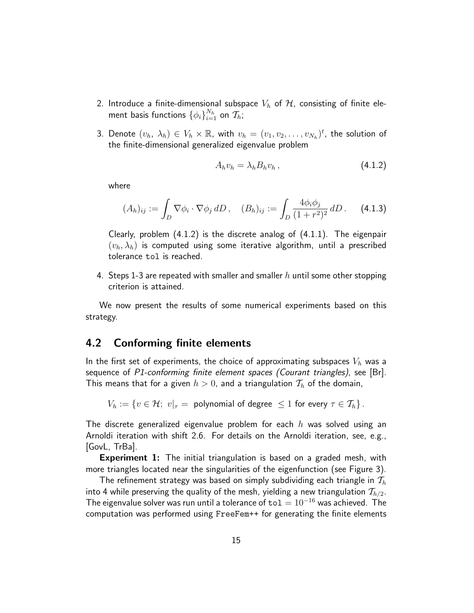- 2. Introduce a finite-dimensional subspace  $V_h$  of  $H$ , consisting of finite element basis functions  $\{\phi_i\}_{i=1}^{N_h}$  on  $\mathcal{T}_h;$
- 3. Denote  $(v_h, \lambda_h) \in V_h \times \mathbb{R}$ , with  $v_h = (v_1, v_2, \dots, v_{N_h})^t$ , the solution of the finite-dimensional generalized eigenvalue problem

$$
A_h v_h = \lambda_h B_h v_h, \qquad (4.1.2)
$$

where

$$
(A_h)_{ij} := \int_D \nabla \phi_i \cdot \nabla \phi_j \, dD \,, \quad (B_h)_{ij} := \int_D \frac{4\phi_i \phi_j}{(1+r^2)^2} \, dD \,. \tag{4.1.3}
$$

Clearly, problem  $(4.1.2)$  is the discrete analog of  $(4.1.1)$ . The eigenpair  $(v_h, \lambda_h)$  is computed using some iterative algorithm, until a prescribed tolerance tol is reached.

4. Steps 1-3 are repeated with smaller and smaller h until some other stopping criterion is attained.

We now present the results of some numerical experiments based on this strategy.

### 4.2 Conforming finite elements

In the first set of experiments, the choice of approximating subspaces  $V_h$  was a sequence of P1-conforming finite element spaces (Courant triangles), see [Br]. This means that for a given  $h > 0$ , and a triangulation  $\mathcal{T}_h$  of the domain,

 $V_h := \{v \in \mathcal{H};\ v|_{\tau} = \text{ polynomial of degree } \leq 1 \text{ for every } \tau \in \mathcal{T}_h\}$ .

The discrete generalized eigenvalue problem for each  $h$  was solved using an Arnoldi iteration with shift 2.6. For details on the Arnoldi iteration, see, e.g., [GovL, TrBa].

**Experiment 1:** The initial triangulation is based on a graded mesh, with more triangles located near the singularities of the eigenfunction (see Figure 3).

The refinement strategy was based on simply subdividing each triangle in  $\mathcal{T}_h$ into 4 while preserving the quality of the mesh, yielding a new triangulation  $\mathcal{T}_{h/2}$ . The eigenvalue solver was run until a tolerance of  $\text{tol} = 10^{-16}$  was achieved. The computation was performed using FreeFem++ for generating the finite elements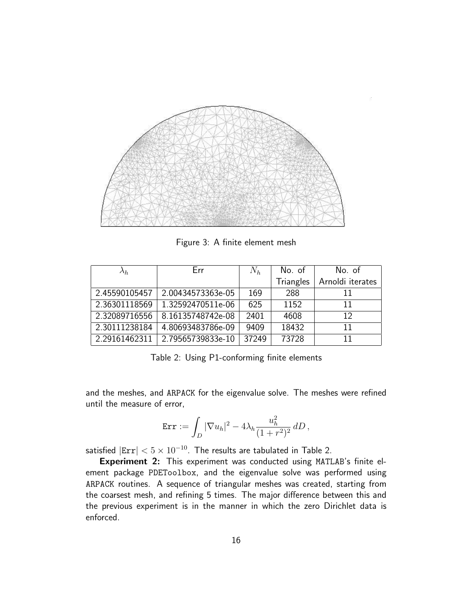

Figure 3: A finite element mesh

| $\lambda_h$   | Err               | $N_h$ | No. of    | No. of           |
|---------------|-------------------|-------|-----------|------------------|
|               |                   |       | Triangles | Arnoldi iterates |
| 2.45590105457 | 2.00434573363e-05 | 169   | 288       | 11               |
| 2.36301118569 | 1.32592470511e-06 | 625   | 1152      | 11               |
| 2.32089716556 | 8.16135748742e-08 | 2401  | 4608      | 12               |
| 2.30111238184 | 4.80693483786e-09 | 9409  | 18432     | 11               |
| 2.29161462311 | 2.79565739833e-10 | 37249 | 73728     | 11               |

Table 2: Using P1-conforming finite elements

and the meshes, and ARPACK for the eigenvalue solve. The meshes were refined until the measure of error,

$$
\operatorname{Err} := \int_D |\nabla u_h|^2 - 4\lambda_h \frac{u_h^2}{(1+r^2)^2} dD,
$$

satisfied  $|Err| < 5 \times 10^{-10}$ . The results are tabulated in Table 2.

Experiment 2: This experiment was conducted using MATLAB's finite element package PDEToolbox, and the eigenvalue solve was performed using ARPACK routines. A sequence of triangular meshes was created, starting from the coarsest mesh, and refining 5 times. The major difference between this and the previous experiment is in the manner in which the zero Dirichlet data is enforced.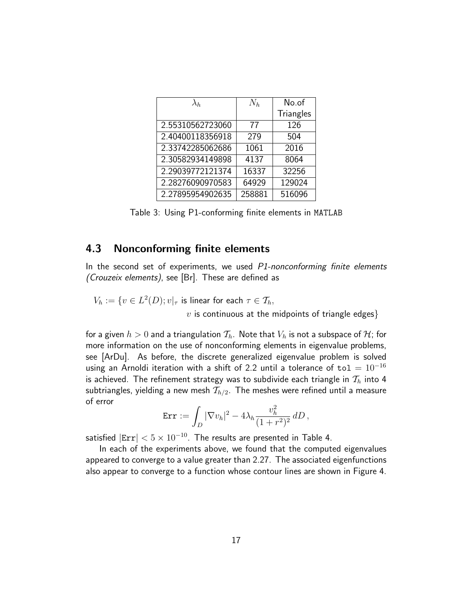| $\lambda_h$      | $N_h$  | No.of            |
|------------------|--------|------------------|
|                  |        | <b>Triangles</b> |
| 2.55310562723060 | 77     | 126              |
| 2.40400118356918 | 279    | 504              |
| 2.33742285062686 | 1061   | 2016             |
| 2.30582934149898 | 4137   | 8064             |
| 2.29039772121374 | 16337  | 32256            |
| 2.28276090970583 | 64929  | 129024           |
| 2.27895954902635 | 258881 | 516096           |

Table 3: Using P1-conforming finite elements in MATLAB

### 4.3 Nonconforming finite elements

In the second set of experiments, we used  $P1$ -nonconforming finite elements (Crouzeix elements), see [Br]. These are defined as

$$
V_h := \{ v \in L^2(D); v|_{\tau} \text{ is linear for each } \tau \in \mathcal{T}_h,
$$
  
*v* is continuous at the midpoints of triangle edges}

for a given  $h > 0$  and a triangulation  $\mathcal{T}_h$ . Note that  $V_h$  is not a subspace of  $\mathcal{H}$ ; for more information on the use of nonconforming elements in eigenvalue problems, see [ArDu]. As before, the discrete generalized eigenvalue problem is solved using an Arnoldi iteration with a shift of 2.2 until a tolerance of to $1 = 10^{-16}$ is achieved. The refinement strategy was to subdivide each triangle in  $\mathcal{T}_h$  into 4 subtriangles, yielding a new mesh  $\mathcal{T}_{h/2}$ . The meshes were refined until a measure of error

$$
\operatorname{Err} := \int_D |\nabla v_h|^2 - 4\lambda_h \frac{v_h^2}{(1+r^2)^2} dD,
$$

satisfied  $|Err| < 5 \times 10^{-10}$ . The results are presented in Table 4.

In each of the experiments above, we found that the computed eigenvalues appeared to converge to a value greater than 2.27. The associated eigenfunctions also appear to converge to a function whose contour lines are shown in Figure 4.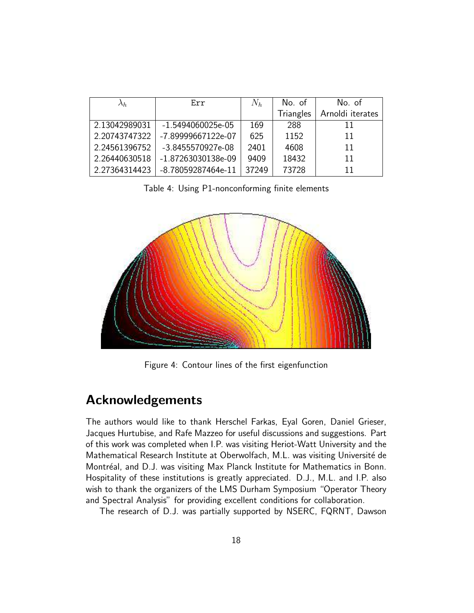| $\lambda_h$   | Err                 | $N_h$ | No. of           | No. of           |
|---------------|---------------------|-------|------------------|------------------|
|               |                     |       | <b>Triangles</b> | Arnoldi iterates |
| 2.13042989031 | $-1.5494060025e-05$ | 169   | 288              | 11               |
| 2.20743747322 | -7.89999667122e-07  | 625   | 1152             | 11               |
| 2.24561396752 | -3.8455570927e-08   | 2401  | 4608             | 11               |
| 2.26440630518 | -1.87263030138e-09  | 9409  | 18432            | 11               |
| 2.27364314423 | -8.78059287464e-11  | 37249 | 73728            | 11               |

Table 4: Using P1-nonconforming finite elements



Figure 4: Contour lines of the first eigenfunction

### Acknowledgements

The authors would like to thank Herschel Farkas, Eyal Goren, Daniel Grieser, Jacques Hurtubise, and Rafe Mazzeo for useful discussions and suggestions. Part of this work was completed when I.P. was visiting Heriot-Watt University and the Mathematical Research Institute at Oberwolfach, M.L. was visiting Université de Montréal, and D.J. was visiting Max Planck Institute for Mathematics in Bonn. Hospitality of these institutions is greatly appreciated. D.J., M.L. and I.P. also wish to thank the organizers of the LMS Durham Symposium "Operator Theory and Spectral Analysis" for providing excellent conditions for collaboration.

The research of D.J. was partially supported by NSERC, FQRNT, Dawson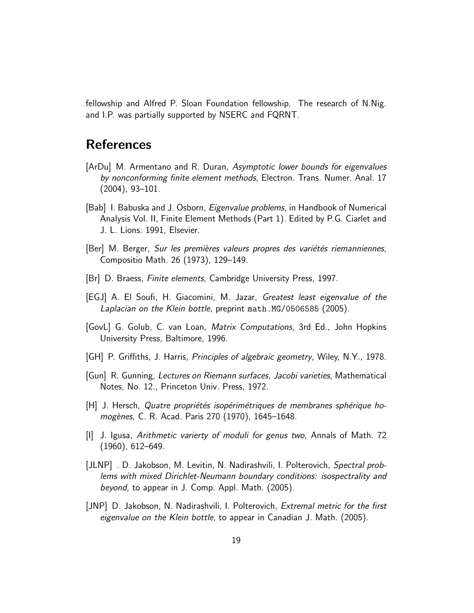fellowship and Alfred P. Sloan Foundation fellowship. The research of N.Nig. and I.P. was partially supported by NSERC and FQRNT.

## **References**

- [ArDu] M. Armentano and R. Duran, Asymptotic lower bounds for eigenvalues by nonconforming finite element methods, Electron. Trans. Numer. Anal. 17 (2004), 93–101.
- [Bab] I. Babuska and J. Osborn, *Eigenvalue problems*, in Handbook of Numerical Analysis Vol. II, Finite Element Methods (Part 1). Edited by P.G. Ciarlet and J. L. Lions. 1991, Elsevier.
- [Ber] M. Berger, *Sur les premières valeurs propres des variétés riemanniennes*, Compositio Math. 26 (1973), 129–149.
- [Br] D. Braess, Finite elements, Cambridge University Press, 1997.
- [EGJ] A. El Soufi, H. Giacomini, M. Jazar, Greatest least eigenvalue of the Laplacian on the Klein bottle, preprint math.MG/0506585 (2005).
- [GovL] G. Golub, C. van Loan, Matrix Computations, 3rd Ed., John Hopkins University Press, Baltimore, 1996.
- [GH] P. Griffiths, J. Harris, Principles of algebraic geometry, Wiley, N.Y., 1978.
- [Gun] R. Gunning, Lectures on Riemann surfaces, Jacobi varieties, Mathematical Notes, No. 12., Princeton Univ. Press, 1972.
- $[H]$  J. Hersch, Quatre propriétés isopérimétriques de membranes sphérique homogènes, C. R. Acad. Paris 270 (1970), 1645–1648.
- [I] J. Igusa, Arithmetic varierty of moduli for genus two, Annals of Math. 72 (1960), 612–649.
- [JLNP] . D. Jakobson, M. Levitin, N. Nadirashvili, I. Polterovich, Spectral problems with mixed Dirichlet-Neumann boundary conditions: isospectrality and beyond, to appear in J. Comp. Appl. Math. (2005).
- [JNP] D. Jakobson, N. Nadirashvili, I. Polterovich, Extremal metric for the first eigenvalue on the Klein bottle, to appear in Canadian J. Math. (2005).